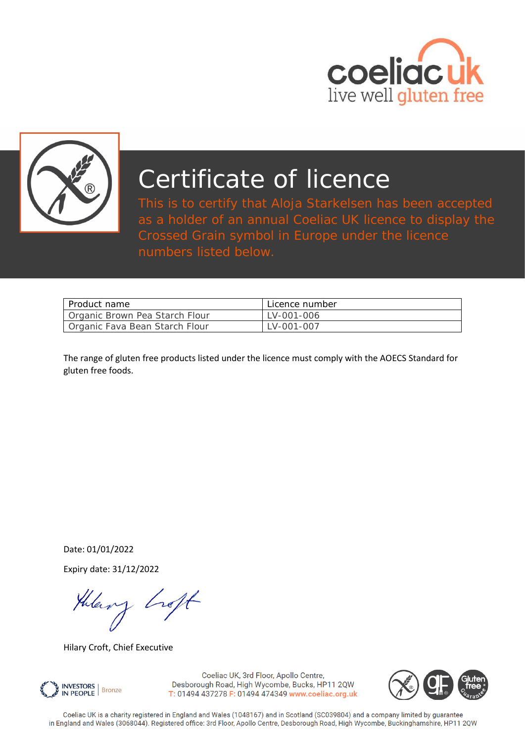



# Certificate of licence

This is to certify that Aloja Starkelsen has been accepted as a holder of an annual Coeliac UK licence to display the Crossed Grain symbol in Europe under the licence numbers listed below.

| Product name                   | Licence number |
|--------------------------------|----------------|
| Organic Brown Pea Starch Flour | LV-001-006     |
| Organic Fava Bean Starch Flour | LV-001-007     |

The range of gluten free products listed under the licence must comply with the AOECS Standard for gluten free foods.

Date: 01/01/2022

Expiry date: 31/12/2022

theory hoft

Hilary Croft, Chief Executive



Coeliac UK, 3rd Floor, Apollo Centre, Desborough Road, High Wycombe, Bucks, HP11 2QW T: 01494 437278 F: 01494 474349 www.coeliac.org.uk



Coeliac UK is a charity registered in England and Wales (1048167) and in Scotland (SC039804) and a company limited by guarantee in England and Wales (3068044). Registered office: 3rd Floor, Apollo Centre, Desborough Road, High Wycombe, Buckinghamshire, HP11 2QW